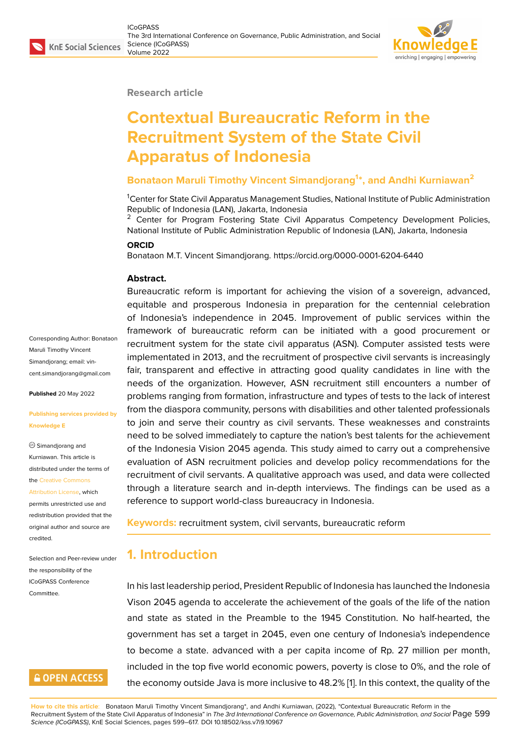#### **Research article**

# **Contextual Bureaucratic Reform in the Recruitment System of the State Civil Apparatus of Indonesia**

### **Bonataon Maruli Timothy Vincent Simandjorang<sup>1</sup> \*, and Andhi Kurniawan<sup>2</sup>**

<sup>1</sup>Center for State Civil Apparatus Management Studies, National Institute of Public Administration Republic of Indonesia (LAN), Jakarta, Indonesia

 $2$  Center for Program Fostering State Civil Apparatus Competency Development Policies, National Institute of Public Administration Republic of Indonesia (LAN), Jakarta, Indonesia

#### **ORCID**

Bonataon M.T. Vincent Simandjorang. https://orcid.org/0000-0001-6204-6440

#### **Abstract.**

Bureaucratic reform is important for achieving the vision of a sovereign, advanced, equitable and prosperous Indonesia in preparation for the centennial celebration of Indonesia's independence in 2045. Improvement of public services within the framework of bureaucratic reform can be initiated with a good procurement or recruitment system for the state civil apparatus (ASN). Computer assisted tests were implementated in 2013, and the recruitment of prospective civil servants is increasingly fair, transparent and effective in attracting good quality candidates in line with the needs of the organization. However, ASN recruitment still encounters a number of problems ranging from formation, infrastructure and types of tests to the lack of interest from the diaspora community, persons with disabilities and other talented professionals to join and serve their country as civil servants. These weaknesses and constraints need to be solved immediately to capture the nation's best talents for the achievement of the Indonesia Vision 2045 agenda. This study aimed to carry out a comprehensive evaluation of ASN recruitment policies and develop policy recommendations for the recruitment of civil servants. A qualitative approach was used, and data were collected through a literature search and in-depth interviews. The findings can be used as a reference to support world-class bureaucracy in Indonesia.

**Keywords:** recruitment system, civil servants, bureaucratic reform

## **1. Introduction**

In his last leadership period, President Republic of Indonesia has launched the Indonesia Vison 2045 agenda to accelerate the achievement of the goals of the life of the nation and state as stated in the Preamble to the 1945 Constitution. No half-hearted, the government has set a target in 2045, even one century of Indonesia's independence to become a state. advanced with a per capita income of Rp. 27 million per month, included in the top five world economic powers, poverty is close to 0%, and the role of the economy outside Java is more inclusive to 48.2% [1]. In this context, the quality of the

the Creative Commons Attribution License, which permits unrestricted use and redistribution provided that the orig[inal author and sou](https://creativecommons.org/licenses/by/4.0/)rce are [credited.](https://creativecommons.org/licenses/by/4.0/)

Selection and Peer-review under the responsibility of the ICoGPASS Conference Committee.

Corresponding Author: Bonataon Maruli Timothy Vincent Simandjorang; email: vincent.simandjorang@gmail.com

**Published** 20 May 2022

**Knowledge E**

Simandjorang and Kurniawan. This article is distributed under the terms of

**[Publishing services provided b](mailto:vincent.simandjorang@gmail.com)y**

# **GOPEN ACCESS**

**How to cite this article**: Bonataon Maruli Timothy Vincent Simandjorang\*, and Andhi Kurniawan, (2022), "Contextual Bureaucratic Reform in the Recruitment System of the State Civil Apparatus of Indonesia" in *The 3rd International Conference on Governance, Public Administration, and Social* Page 599 *Science (ICoGPASS)*, KnE Social Sciences, pages 599–617. DOI 10.18502/kss.v7i9.10967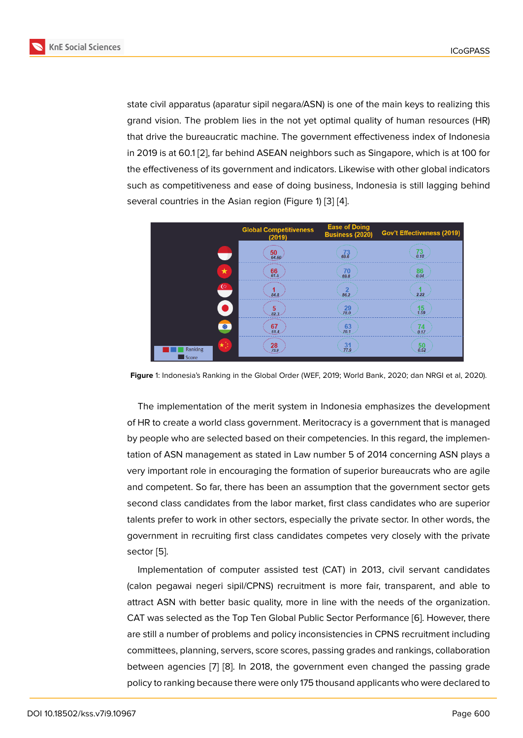state civil apparatus (aparatur sipil negara/ASN) is one of the main keys to realizing this grand vision. The problem lies in the not yet optimal quality of human resources (HR) that drive the bureaucratic machine. The government effectiveness index of Indonesia in 2019 is at 60.1 [2], far behind ASEAN neighbors such as Singapore, which is at 100 for the effectiveness of its government and indicators. Likewise with other global indicators such as competitiveness and ease of doing business, Indonesia is still lagging behind several countries [in](#page-16-0) the Asian region (Figure 1) [3] [4].

|                        | <b>Global Competitiveness</b><br>(2019) | <b>Ease of Doing</b><br><b>Business (2020)</b> | <b>Gov't Effectiveness (2019)</b> |
|------------------------|-----------------------------------------|------------------------------------------------|-----------------------------------|
|                        | $\frac{50}{64.60}$                      | $73 \overline{69.6}$                           | $73 \n0.18$                       |
| $\star$                | $66$ <sub>61.5</sub>                    | 70<br>69.8                                     | $\frac{86}{0.04}$                 |
| $C^*$                  | 1<br>84.8                               | $\overline{\mathbf{z}}$<br>86.2                | 2.22                              |
|                        | 5<br>82.3.                              | 29<br>78.0                                     | $15 \over 1.59$                   |
| $\bullet$              | $\frac{67}{61.4}$                       | 63<br>70.1                                     | 74<br>0.17                        |
| *)<br>Ranking<br>Score | $\frac{28}{73.9}$                       | $\frac{31}{77.9}$                              | $\frac{50}{0.52}$                 |

**Figure** 1: Indonesia's Ranking in the Global Order (WEF, 2019; World Bank, 2020; dan NRGI et al, 2020).

The implementation of the merit system in Indonesia emphasizes the development of HR to create a world class government. Meritocracy is a government that is managed by people who are selected based on their competencies. In this regard, the implementation of ASN management as stated in Law number 5 of 2014 concerning ASN plays a very important role in encouraging the formation of superior bureaucrats who are agile and competent. So far, there has been an assumption that the government sector gets second class candidates from the labor market, first class candidates who are superior talents prefer to work in other sectors, especially the private sector. In other words, the government in recruiting first class candidates competes very closely with the private sector [5].

Implementation of computer assisted test (CAT) in 2013, civil servant candidates (calon pegawai negeri sipil/CPNS) recruitment is more fair, transparent, and able to attract [AS](#page-16-1)N with better basic quality, more in line with the needs of the organization. CAT was selected as the Top Ten Global Public Sector Performance [6]. However, there are still a number of problems and policy inconsistencies in CPNS recruitment including committees, planning, servers, score scores, passing grades and rankings, collaboration between agencies [7] [8]. In 2018, the government even changed [th](#page-16-2)e passing grade policy to ranking because there were only 175 thousand applicants who were declared to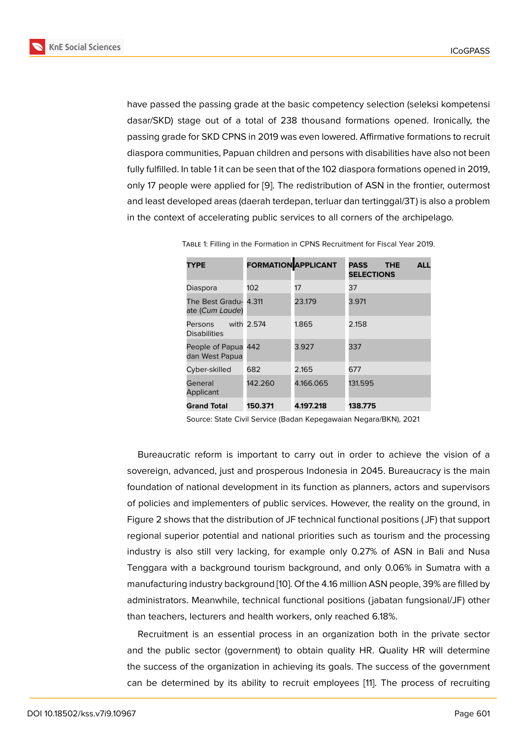have passed the passing grade at the basic competency selection (seleksi kompetensi dasar/SKD) stage out of a total of 238 thousand formations opened. Ironically, the passing grade for SKD CPNS in 2019 was even lowered. Affirmative formations to recruit diaspora communities, Papuan children and persons with disabilities have also not been fully fulfilled. In table 1 it can be seen that of the 102 diaspora formations opened in 2019, only 17 people were applied for [9]. The redistribution of ASN in the frontier, outermost and least developed areas (daerah terdepan, terluar dan tertinggal/3T) is also a problem in the context of accelerating public services to all corners of the archipelago.

| <b>TYPE</b>                              | <b>FORMATION APPLICANT</b> |           | <b>THE</b><br><b>ALL</b><br>PASS<br><b>SELECTIONS</b> |
|------------------------------------------|----------------------------|-----------|-------------------------------------------------------|
| Diaspora                                 | 102                        | 17        | 37                                                    |
| The Best Gradu- 4.311<br>ate (Cum Laude) |                            | 23.179    | 3.971                                                 |
| Persons<br><b>Disabilities</b>           | with 2.574                 | 1.865     | 2.158                                                 |
| People of Papua 442<br>dan West Papua    |                            | 3.927     | 337                                                   |
| Cyber-skilled                            | 682                        | 2.165     | 677                                                   |
| General<br>Applicant                     | 142.260                    | 4.166.065 | 131.595                                               |
| <b>Grand Total</b>                       | 150.371                    | 4.197.218 | 138.775                                               |

Table 1: Filling in the Formation in CPNS Recruitment for Fiscal Year 2019.

Source: State Civil Service (Badan Kepegawaian Negara/BKN), 2021

Bureaucratic reform is important to carry out in order to achieve the vision of a sovereign, advanced, just and prosperous Indonesia in 2045. Bureaucracy is the main foundation of national development in its function as planners, actors and supervisors of policies and implementers of public services. However, the reality on the ground, in Figure 2 shows that the distribution of JF technical functional positions ( JF) that support regional superior potential and national priorities such as tourism and the processing industry is also still very lacking, for example only 0.27% of ASN in Bali and Nusa Tengg[ar](#page-3-0)a with a background tourism background, and only 0.06% in Sumatra with a manufacturing industry background [10]. Of the 4.16 million ASN people, 39% are filled by administrators. Meanwhile, technical functional positions ( jabatan fungsional/JF) other than teachers, lecturers and health workers, only reached 6.18%.

Recruitment is an essential proc[ess](#page-17-0) in an organization both in the private sector and the public sector (government) to obtain quality HR. Quality HR will determine the success of the organization in achieving its goals. The success of the government can be determined by its ability to recruit employees [11]. The process of recruiting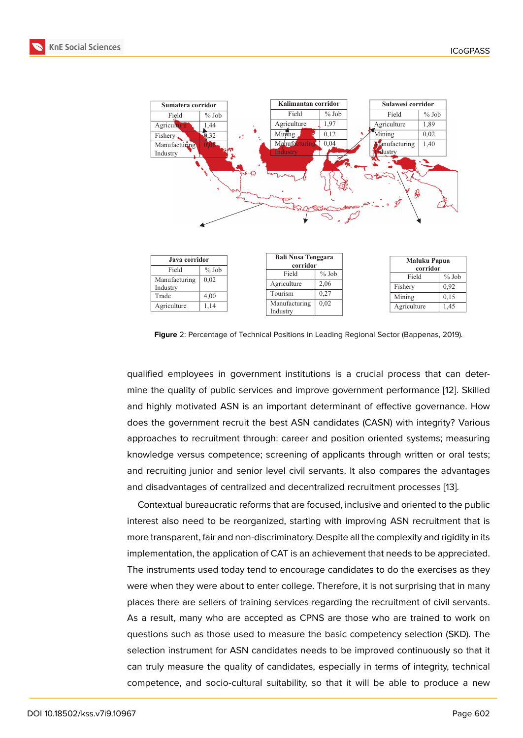

<span id="page-3-0"></span>**Figure** 2: Percentage of Technical Positions in Leading Regional Sector (Bappenas, 2019).

qualified employees in government institutions is a crucial process that can determine the quality of public services and improve government performance [12]. Skilled and highly motivated ASN is an important determinant of effective governance. How does the government recruit the best ASN candidates (CASN) with integrity? Various approaches to recruitment through: career and position oriented systems; [me](#page-17-1)asuring knowledge versus competence; screening of applicants through written or oral tests; and recruiting junior and senior level civil servants. It also compares the advantages and disadvantages of centralized and decentralized recruitment processes [13].

Contextual bureaucratic reforms that are focused, inclusive and oriented to the public interest also need to be reorganized, starting with improving ASN recruitment that is more transparent, fair and non-discriminatory. Despite all the complexity and r[igid](#page-17-2)ity in its implementation, the application of CAT is an achievement that needs to be appreciated. The instruments used today tend to encourage candidates to do the exercises as they were when they were about to enter college. Therefore, it is not surprising that in many places there are sellers of training services regarding the recruitment of civil servants. As a result, many who are accepted as CPNS are those who are trained to work on questions such as those used to measure the basic competency selection (SKD). The selection instrument for ASN candidates needs to be improved continuously so that it can truly measure the quality of candidates, especially in terms of integrity, technical competence, and socio-cultural suitability, so that it will be able to produce a new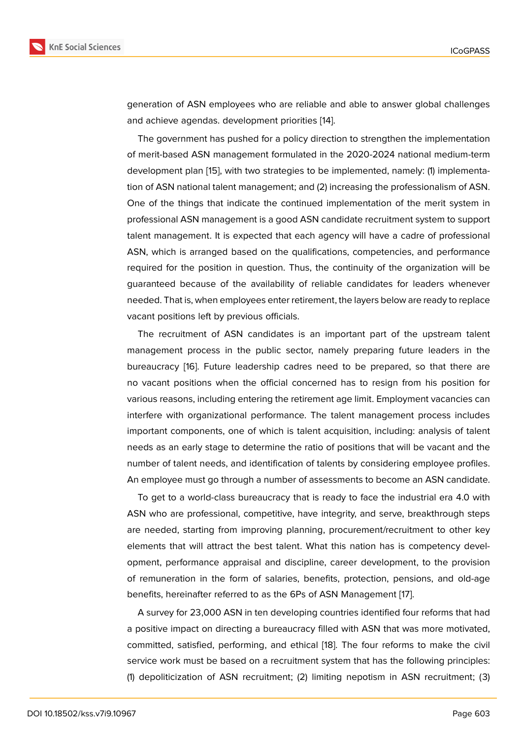generation of ASN employees who are reliable and able to answer global challenges and achieve agendas. development priorities [14].

The government has pushed for a policy direction to strengthen the implementation of merit-based ASN management formulated in the 2020-2024 national medium-term development plan [15], with two strategies to [be](#page-17-3) implemented, namely: (1) implementation of ASN national talent management; and (2) increasing the professionalism of ASN. One of the things that indicate the continued implementation of the merit system in professional ASN [man](#page-17-4)agement is a good ASN candidate recruitment system to support talent management. It is expected that each agency will have a cadre of professional ASN, which is arranged based on the qualifications, competencies, and performance required for the position in question. Thus, the continuity of the organization will be guaranteed because of the availability of reliable candidates for leaders whenever needed. That is, when employees enter retirement, the layers below are ready to replace vacant positions left by previous officials.

The recruitment of ASN candidates is an important part of the upstream talent management process in the public sector, namely preparing future leaders in the bureaucracy [16]. Future leadership cadres need to be prepared, so that there are no vacant positions when the official concerned has to resign from his position for various reasons, including entering the retirement age limit. Employment vacancies can interfere with [or](#page-17-5)ganizational performance. The talent management process includes important components, one of which is talent acquisition, including: analysis of talent needs as an early stage to determine the ratio of positions that will be vacant and the number of talent needs, and identification of talents by considering employee profiles. An employee must go through a number of assessments to become an ASN candidate.

To get to a world-class bureaucracy that is ready to face the industrial era 4.0 with ASN who are professional, competitive, have integrity, and serve, breakthrough steps are needed, starting from improving planning, procurement/recruitment to other key elements that will attract the best talent. What this nation has is competency development, performance appraisal and discipline, career development, to the provision of remuneration in the form of salaries, benefits, protection, pensions, and old-age benefits, hereinafter referred to as the 6Ps of ASN Management [17].

A survey for 23,000 ASN in ten developing countries identified four reforms that had a positive impact on directing a bureaucracy filled with ASN that was more motivated, committed, satisfied, performing, and ethical [18]. The four refor[ms](#page-17-6) to make the civil service work must be based on a recruitment system that has the following principles: (1) depoliticization of ASN recruitment; (2) limiting nepotism in ASN recruitment; (3)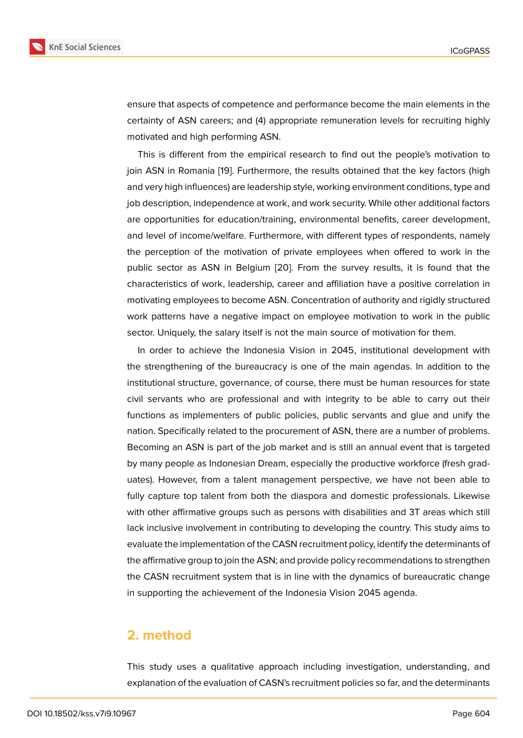ensure that aspects of competence and performance become the main elements in the certainty of ASN careers; and (4) appropriate remuneration levels for recruiting highly motivated and high performing ASN.

This is different from the empirical research to find out the people's motivation to join ASN in Romania [19]. Furthermore, the results obtained that the key factors (high and very high influences) are leadership style, working environment conditions, type and job description, independence at work, and work security. While other additional factors are opportunities for [edu](#page-17-7)cation/training, environmental benefits, career development, and level of income/welfare. Furthermore, with different types of respondents, namely the perception of the motivation of private employees when offered to work in the public sector as ASN in Belgium [20]. From the survey results, it is found that the characteristics of work, leadership, career and affiliation have a positive correlation in motivating employees to become ASN. Concentration of authority and rigidly structured work patterns have a negative imp[act](#page-17-8) on employee motivation to work in the public sector. Uniquely, the salary itself is not the main source of motivation for them.

In order to achieve the Indonesia Vision in 2045, institutional development with the strengthening of the bureaucracy is one of the main agendas. In addition to the institutional structure, governance, of course, there must be human resources for state civil servants who are professional and with integrity to be able to carry out their functions as implementers of public policies, public servants and glue and unify the nation. Specifically related to the procurement of ASN, there are a number of problems. Becoming an ASN is part of the job market and is still an annual event that is targeted by many people as Indonesian Dream, especially the productive workforce (fresh graduates). However, from a talent management perspective, we have not been able to fully capture top talent from both the diaspora and domestic professionals. Likewise with other affirmative groups such as persons with disabilities and 3T areas which still lack inclusive involvement in contributing to developing the country. This study aims to evaluate the implementation of the CASN recruitment policy, identify the determinants of the affirmative group to join the ASN; and provide policy recommendations to strengthen the CASN recruitment system that is in line with the dynamics of bureaucratic change in supporting the achievement of the Indonesia Vision 2045 agenda.

### **2. method**

This study uses a qualitative approach including investigation, understanding, and explanation of the evaluation of CASN's recruitment policies so far, and the determinants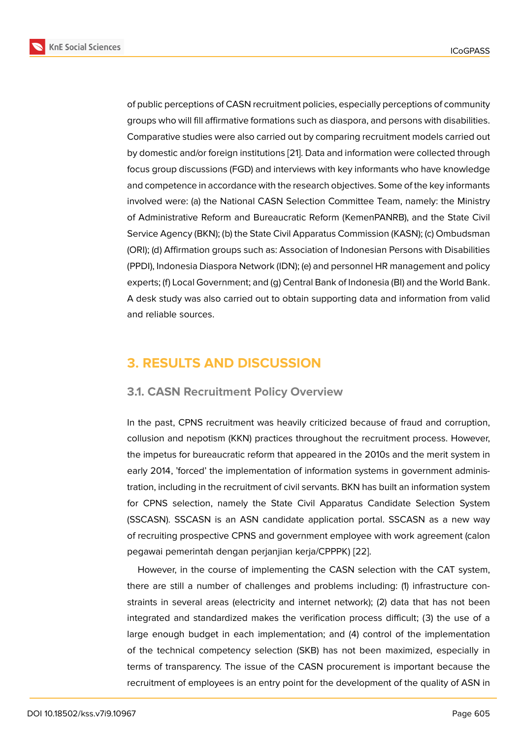of public perceptions of CASN recruitment policies, especially perceptions of community groups who will fill affirmative formations such as diaspora, and persons with disabilities. Comparative studies were also carried out by comparing recruitment models carried out by domestic and/or foreign institutions [21]. Data and information were collected through focus group discussions (FGD) and interviews with key informants who have knowledge and competence in accordance with the research objectives. Some of the key informants involved were: (a) the National CASN [Sel](#page-18-0)ection Committee Team, namely: the Ministry of Administrative Reform and Bureaucratic Reform (KemenPANRB), and the State Civil Service Agency (BKN); (b) the State Civil Apparatus Commission (KASN); (c) Ombudsman (ORI); (d) Affirmation groups such as: Association of Indonesian Persons with Disabilities (PPDI), Indonesia Diaspora Network (IDN); (e) and personnel HR management and policy experts; (f) Local Government; and (g) Central Bank of Indonesia (BI) and the World Bank. A desk study was also carried out to obtain supporting data and information from valid and reliable sources.

# **3. RESULTS AND DISCUSSION**

### **3.1. CASN Recruitment Policy Overview**

In the past, CPNS recruitment was heavily criticized because of fraud and corruption, collusion and nepotism (KKN) practices throughout the recruitment process. However, the impetus for bureaucratic reform that appeared in the 2010s and the merit system in early 2014, 'forced' the implementation of information systems in government administration, including in the recruitment of civil servants. BKN has built an information system for CPNS selection, namely the State Civil Apparatus Candidate Selection System (SSCASN). SSCASN is an ASN candidate application portal. SSCASN as a new way of recruiting prospective CPNS and government employee with work agreement (calon pegawai pemerintah dengan perjanjian kerja/CPPPK) [22].

However, in the course of implementing the CASN selection with the CAT system, there are still a number of challenges and problems including: (1) infrastructure constraints in several areas (electricity and internet netw[ork](#page-18-1)); (2) data that has not been integrated and standardized makes the verification process difficult; (3) the use of a large enough budget in each implementation; and (4) control of the implementation of the technical competency selection (SKB) has not been maximized, especially in terms of transparency. The issue of the CASN procurement is important because the recruitment of employees is an entry point for the development of the quality of ASN in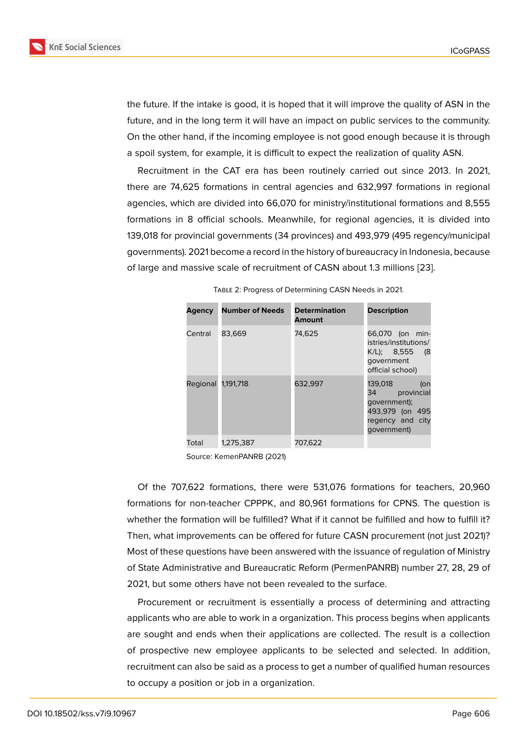the future. If the intake is good, it is hoped that it will improve the quality of ASN in the future, and in the long term it will have an impact on public services to the community. On the other hand, if the incoming employee is not good enough because it is through a spoil system, for example, it is difficult to expect the realization of quality ASN.

Recruitment in the CAT era has been routinely carried out since 2013. In 2021, there are 74,625 formations in central agencies and 632,997 formations in regional agencies, which are divided into 66,070 for ministry/institutional formations and 8,555 formations in 8 official schools. Meanwhile, for regional agencies, it is divided into 139,018 for provincial governments (34 provinces) and 493,979 (495 regency/municipal governments). 2021 become a record in the history of bureaucracy in Indonesia, because of large and massive scale of recruitment of CASN about 1.3 millions [23].

| Agency   | <b>Number of Needs</b> | <b>Determination</b><br>Amount | <b>Description</b>                                                                                         |
|----------|------------------------|--------------------------------|------------------------------------------------------------------------------------------------------------|
| Central  | 83,669                 | 74,625                         | 66,070 (on min-<br>istries/institutions/<br>K/L); 8,555 (8<br>government<br>official school)               |
| Regional | 1,191,718              | 632,997                        | 139.018<br>(on<br>34 —<br>provincial<br>qovernment);<br>493,979 (on 495<br>regency and city<br>qovernment) |
| Total    | 1.275.387              | 707.622                        |                                                                                                            |

|  | TABLE 2: Progress of Determining CASN Needs in 2021. |
|--|------------------------------------------------------|
|--|------------------------------------------------------|

Of the 707,622 formations, there were 531,076 formations for teachers, 20,960 formations for non-teacher CPPPK, and 80,961 formations for CPNS. The question is whether the formation will be fulfilled? What if it cannot be fulfilled and how to fulfill it? Then, what improvements can be offered for future CASN procurement (not just 2021)? Most of these questions have been answered with the issuance of regulation of Ministry of State Administrative and Bureaucratic Reform (PermenPANRB) number 27, 28, 29 of 2021, but some others have not been revealed to the surface.

Procurement or recruitment is essentially a process of determining and attracting applicants who are able to work in a organization. This process begins when applicants are sought and ends when their applications are collected. The result is a collection of prospective new employee applicants to be selected and selected. In addition, recruitment can also be said as a process to get a number of qualified human resources to occupy a position or job in a organization.

Source: KemenPANRB (2021)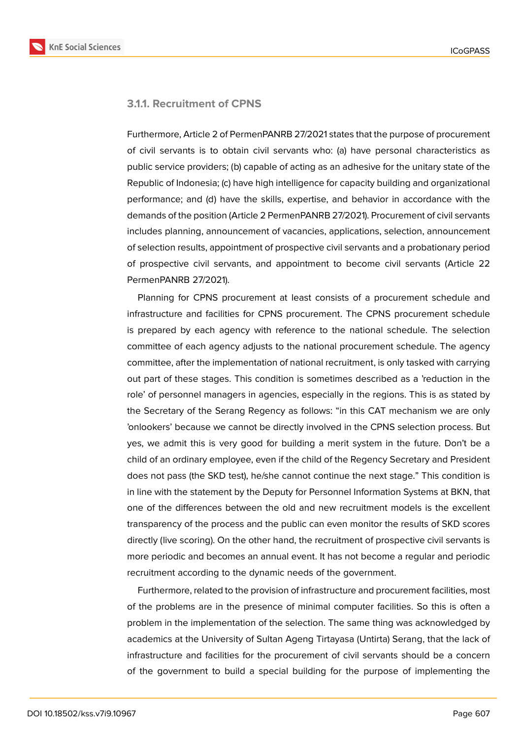**KnE Social Sciences** 



### **3.1.1. Recruitment of CPNS**

Furthermore, Article 2 of PermenPANRB 27/2021 states that the purpose of procurement of civil servants is to obtain civil servants who: (a) have personal characteristics as public service providers; (b) capable of acting as an adhesive for the unitary state of the Republic of Indonesia; (c) have high intelligence for capacity building and organizational performance; and (d) have the skills, expertise, and behavior in accordance with the demands of the position (Article 2 PermenPANRB 27/2021). Procurement of civil servants includes planning, announcement of vacancies, applications, selection, announcement of selection results, appointment of prospective civil servants and a probationary period of prospective civil servants, and appointment to become civil servants (Article 22 PermenPANRB 27/2021).

Planning for CPNS procurement at least consists of a procurement schedule and infrastructure and facilities for CPNS procurement. The CPNS procurement schedule is prepared by each agency with reference to the national schedule. The selection committee of each agency adjusts to the national procurement schedule. The agency committee, after the implementation of national recruitment, is only tasked with carrying out part of these stages. This condition is sometimes described as a 'reduction in the role' of personnel managers in agencies, especially in the regions. This is as stated by the Secretary of the Serang Regency as follows: "in this CAT mechanism we are only 'onlookers' because we cannot be directly involved in the CPNS selection process. But yes, we admit this is very good for building a merit system in the future. Don't be a child of an ordinary employee, even if the child of the Regency Secretary and President does not pass (the SKD test), he/she cannot continue the next stage." This condition is in line with the statement by the Deputy for Personnel Information Systems at BKN, that one of the differences between the old and new recruitment models is the excellent transparency of the process and the public can even monitor the results of SKD scores directly (live scoring). On the other hand, the recruitment of prospective civil servants is more periodic and becomes an annual event. It has not become a regular and periodic recruitment according to the dynamic needs of the government.

Furthermore, related to the provision of infrastructure and procurement facilities, most of the problems are in the presence of minimal computer facilities. So this is often a problem in the implementation of the selection. The same thing was acknowledged by academics at the University of Sultan Ageng Tirtayasa (Untirta) Serang, that the lack of infrastructure and facilities for the procurement of civil servants should be a concern of the government to build a special building for the purpose of implementing the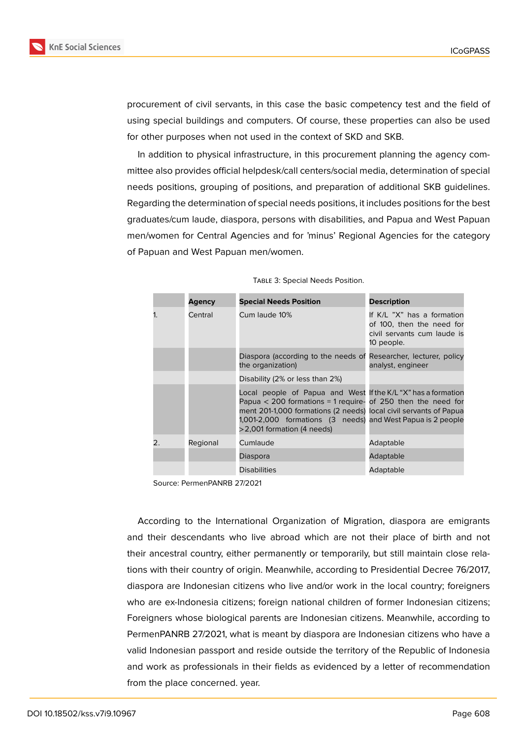

procurement of civil servants, in this case the basic competency test and the field of using special buildings and computers. Of course, these properties can also be used for other purposes when not used in the context of SKD and SKB.

In addition to physical infrastructure, in this procurement planning the agency committee also provides official helpdesk/call centers/social media, determination of special needs positions, grouping of positions, and preparation of additional SKB guidelines. Regarding the determination of special needs positions, it includes positions for the best graduates/cum laude, diaspora, persons with disabilities, and Papua and West Papuan men/women for Central Agencies and for 'minus' Regional Agencies for the category of Papuan and West Papuan men/women.

|    | Agency   | <b>Special Needs Position</b>                                                                                                                                                                                                                                                                     | <b>Description</b>                                                                                   |
|----|----------|---------------------------------------------------------------------------------------------------------------------------------------------------------------------------------------------------------------------------------------------------------------------------------------------------|------------------------------------------------------------------------------------------------------|
|    | Central  | Cum laude 10%                                                                                                                                                                                                                                                                                     | If K/L "X" has a formation<br>of 100, then the need for<br>civil servants cum laude is<br>10 people. |
|    |          | Diaspora (according to the needs of Researcher, lecturer, policy<br>the organization)                                                                                                                                                                                                             | analyst, engineer                                                                                    |
|    |          | Disability (2% or less than 2%)                                                                                                                                                                                                                                                                   |                                                                                                      |
|    |          | Local people of Papua and West If the K/L "X" has a formation<br>Papua $<$ 200 formations = 1 require- of 250 then the need for<br>ment 201-1,000 formations (2 needs) local civil servants of Papua<br>1,001-2,000 formations (3 needs) and West Papua is 2 people<br>>2,001 formation (4 needs) |                                                                                                      |
| 2. | Regional | Cumlaude                                                                                                                                                                                                                                                                                          | Adaptable                                                                                            |
|    |          | Diaspora                                                                                                                                                                                                                                                                                          | Adaptable                                                                                            |
|    |          | <b>Disabilities</b>                                                                                                                                                                                                                                                                               | Adaptable                                                                                            |

Source: PermenPANRB 27/2021

According to the International Organization of Migration, diaspora are emigrants and their descendants who live abroad which are not their place of birth and not their ancestral country, either permanently or temporarily, but still maintain close relations with their country of origin. Meanwhile, according to Presidential Decree 76/2017, diaspora are Indonesian citizens who live and/or work in the local country; foreigners who are ex-Indonesia citizens; foreign national children of former Indonesian citizens; Foreigners whose biological parents are Indonesian citizens. Meanwhile, according to PermenPANRB 27/2021, what is meant by diaspora are Indonesian citizens who have a valid Indonesian passport and reside outside the territory of the Republic of Indonesia and work as professionals in their fields as evidenced by a letter of recommendation from the place concerned. year.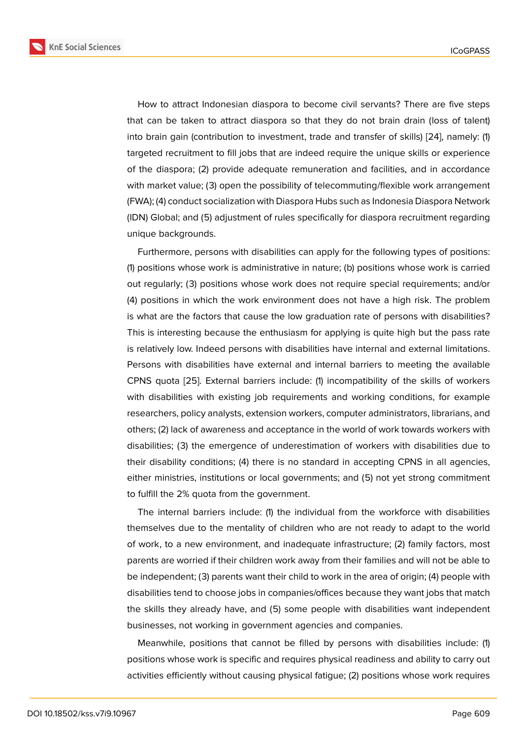How to attract Indonesian diaspora to become civil servants? There are five steps that can be taken to attract diaspora so that they do not brain drain (loss of talent) into brain gain (contribution to investment, trade and transfer of skills) [24], namely: (1) targeted recruitment to fill jobs that are indeed require the unique skills or experience of the diaspora; (2) provide adequate remuneration and facilities, and in accordance with market value; (3) open the possibility of telecommuting/flexible wo[rk a](#page-18-2)rrangement (FWA); (4) conduct socialization with Diaspora Hubs such as Indonesia Diaspora Network (IDN) Global; and (5) adjustment of rules specifically for diaspora recruitment regarding unique backgrounds.

Furthermore, persons with disabilities can apply for the following types of positions: (1) positions whose work is administrative in nature; (b) positions whose work is carried out regularly; (3) positions whose work does not require special requirements; and/or (4) positions in which the work environment does not have a high risk. The problem is what are the factors that cause the low graduation rate of persons with disabilities? This is interesting because the enthusiasm for applying is quite high but the pass rate is relatively low. Indeed persons with disabilities have internal and external limitations. Persons with disabilities have external and internal barriers to meeting the available CPNS quota [25]. External barriers include: (1) incompatibility of the skills of workers with disabilities with existing job requirements and working conditions, for example researchers, policy analysts, extension workers, computer administrators, librarians, and others; (2) lac[k of](#page-18-3) awareness and acceptance in the world of work towards workers with disabilities; (3) the emergence of underestimation of workers with disabilities due to their disability conditions; (4) there is no standard in accepting CPNS in all agencies, either ministries, institutions or local governments; and (5) not yet strong commitment to fulfill the 2% quota from the government.

The internal barriers include: (1) the individual from the workforce with disabilities themselves due to the mentality of children who are not ready to adapt to the world of work, to a new environment, and inadequate infrastructure; (2) family factors, most parents are worried if their children work away from their families and will not be able to be independent; (3) parents want their child to work in the area of origin; (4) people with disabilities tend to choose jobs in companies/offices because they want jobs that match the skills they already have, and (5) some people with disabilities want independent businesses, not working in government agencies and companies.

Meanwhile, positions that cannot be filled by persons with disabilities include: (1) positions whose work is specific and requires physical readiness and ability to carry out activities efficiently without causing physical fatigue; (2) positions whose work requires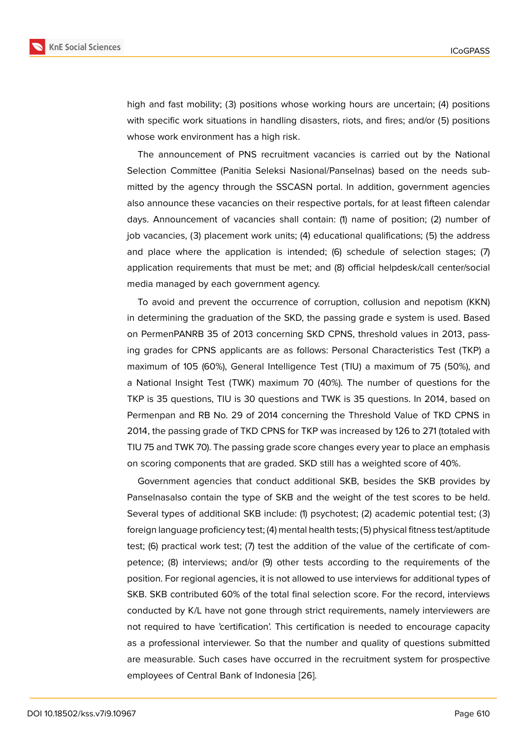high and fast mobility; (3) positions whose working hours are uncertain; (4) positions with specific work situations in handling disasters, riots, and fires; and/or (5) positions whose work environment has a high risk.

The announcement of PNS recruitment vacancies is carried out by the National Selection Committee (Panitia Seleksi Nasional/Panselnas) based on the needs submitted by the agency through the SSCASN portal. In addition, government agencies also announce these vacancies on their respective portals, for at least fifteen calendar days. Announcement of vacancies shall contain: (1) name of position; (2) number of job vacancies, (3) placement work units; (4) educational qualifications; (5) the address and place where the application is intended; (6) schedule of selection stages; (7) application requirements that must be met; and (8) official helpdesk/call center/social media managed by each government agency.

To avoid and prevent the occurrence of corruption, collusion and nepotism (KKN) in determining the graduation of the SKD, the passing grade e system is used. Based on PermenPANRB 35 of 2013 concerning SKD CPNS, threshold values in 2013, passing grades for CPNS applicants are as follows: Personal Characteristics Test (TKP) a maximum of 105 (60%), General Intelligence Test (TIU) a maximum of 75 (50%), and a National Insight Test (TWK) maximum 70 (40%). The number of questions for the TKP is 35 questions, TIU is 30 questions and TWK is 35 questions. In 2014, based on Permenpan and RB No. 29 of 2014 concerning the Threshold Value of TKD CPNS in 2014, the passing grade of TKD CPNS for TKP was increased by 126 to 271 (totaled with TIU 75 and TWK 70). The passing grade score changes every year to place an emphasis on scoring components that are graded. SKD still has a weighted score of 40%.

Government agencies that conduct additional SKB, besides the SKB provides by Panselnasalso contain the type of SKB and the weight of the test scores to be held. Several types of additional SKB include: (1) psychotest; (2) academic potential test; (3) foreign language proficiency test; (4) mental health tests; (5) physical fitness test/aptitude test; (6) practical work test; (7) test the addition of the value of the certificate of competence; (8) interviews; and/or (9) other tests according to the requirements of the position. For regional agencies, it is not allowed to use interviews for additional types of SKB. SKB contributed 60% of the total final selection score. For the record, interviews conducted by K/L have not gone through strict requirements, namely interviewers are not required to have 'certification'. This certification is needed to encourage capacity as a professional interviewer. So that the number and quality of questions submitted are measurable. Such cases have occurred in the recruitment system for prospective employees of Central Bank of Indonesia [26].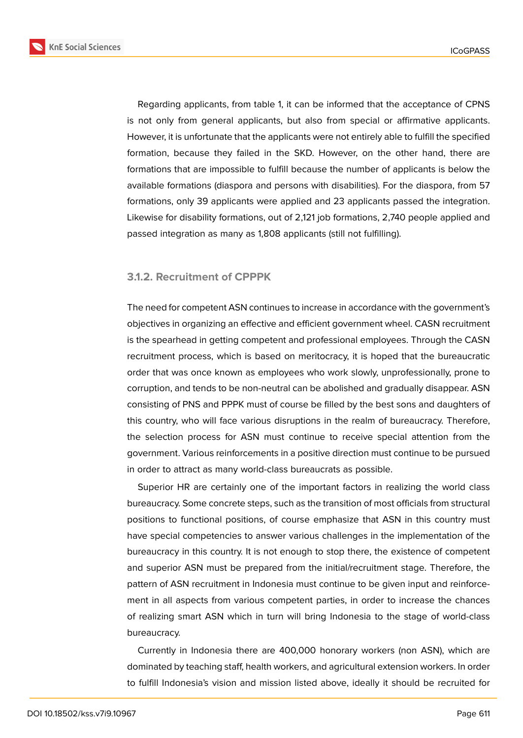

Regarding applicants, from table 1, it can be informed that the acceptance of CPNS is not only from general applicants, but also from special or affirmative applicants. However, it is unfortunate that the applicants were not entirely able to fulfill the specified formation, because they failed in the SKD. However, on the other hand, there are formations that are impossible to fulfill because the number of applicants is below the available formations (diaspora and persons with disabilities). For the diaspora, from 57 formations, only 39 applicants were applied and 23 applicants passed the integration. Likewise for disability formations, out of 2,121 job formations, 2,740 people applied and passed integration as many as 1,808 applicants (still not fulfilling).

### **3.1.2. Recruitment of CPPPK**

The need for competent ASN continues to increase in accordance with the government's objectives in organizing an effective and efficient government wheel. CASN recruitment is the spearhead in getting competent and professional employees. Through the CASN recruitment process, which is based on meritocracy, it is hoped that the bureaucratic order that was once known as employees who work slowly, unprofessionally, prone to corruption, and tends to be non-neutral can be abolished and gradually disappear. ASN consisting of PNS and PPPK must of course be filled by the best sons and daughters of this country, who will face various disruptions in the realm of bureaucracy. Therefore, the selection process for ASN must continue to receive special attention from the government. Various reinforcements in a positive direction must continue to be pursued in order to attract as many world-class bureaucrats as possible.

Superior HR are certainly one of the important factors in realizing the world class bureaucracy. Some concrete steps, such as the transition of most officials from structural positions to functional positions, of course emphasize that ASN in this country must have special competencies to answer various challenges in the implementation of the bureaucracy in this country. It is not enough to stop there, the existence of competent and superior ASN must be prepared from the initial/recruitment stage. Therefore, the pattern of ASN recruitment in Indonesia must continue to be given input and reinforcement in all aspects from various competent parties, in order to increase the chances of realizing smart ASN which in turn will bring Indonesia to the stage of world-class bureaucracy.

Currently in Indonesia there are 400,000 honorary workers (non ASN), which are dominated by teaching staff, health workers, and agricultural extension workers. In order to fulfill Indonesia's vision and mission listed above, ideally it should be recruited for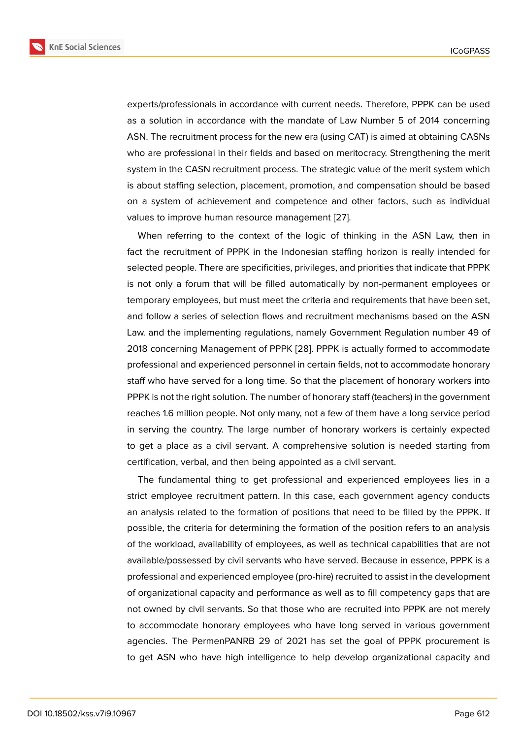experts/professionals in accordance with current needs. Therefore, PPPK can be used as a solution in accordance with the mandate of Law Number 5 of 2014 concerning ASN. The recruitment process for the new era (using CAT) is aimed at obtaining CASNs who are professional in their fields and based on meritocracy. Strengthening the merit system in the CASN recruitment process. The strategic value of the merit system which is about staffing selection, placement, promotion, and compensation should be based on a system of achievement and competence and other factors, such as individual values to improve human resource management [27].

When referring to the context of the logic of thinking in the ASN Law, then in fact the recruitment of PPPK in the Indonesian staffing horizon is really intended for selected people. There are specificities, privileges[, an](#page-18-4)d priorities that indicate that PPPK is not only a forum that will be filled automatically by non-permanent employees or temporary employees, but must meet the criteria and requirements that have been set, and follow a series of selection flows and recruitment mechanisms based on the ASN Law. and the implementing regulations, namely Government Regulation number 49 of 2018 concerning Management of PPPK [28]. PPPK is actually formed to accommodate professional and experienced personnel in certain fields, not to accommodate honorary staff who have served for a long time. So that the placement of honorary workers into PPPK is not the right solution. The numbe[r of](#page-18-5) honorary staff (teachers) in the government reaches 1.6 million people. Not only many, not a few of them have a long service period in serving the country. The large number of honorary workers is certainly expected to get a place as a civil servant. A comprehensive solution is needed starting from certification, verbal, and then being appointed as a civil servant.

The fundamental thing to get professional and experienced employees lies in a strict employee recruitment pattern. In this case, each government agency conducts an analysis related to the formation of positions that need to be filled by the PPPK. If possible, the criteria for determining the formation of the position refers to an analysis of the workload, availability of employees, as well as technical capabilities that are not available/possessed by civil servants who have served. Because in essence, PPPK is a professional and experienced employee (pro-hire) recruited to assist in the development of organizational capacity and performance as well as to fill competency gaps that are not owned by civil servants. So that those who are recruited into PPPK are not merely to accommodate honorary employees who have long served in various government agencies. The PermenPANRB 29 of 2021 has set the goal of PPPK procurement is to get ASN who have high intelligence to help develop organizational capacity and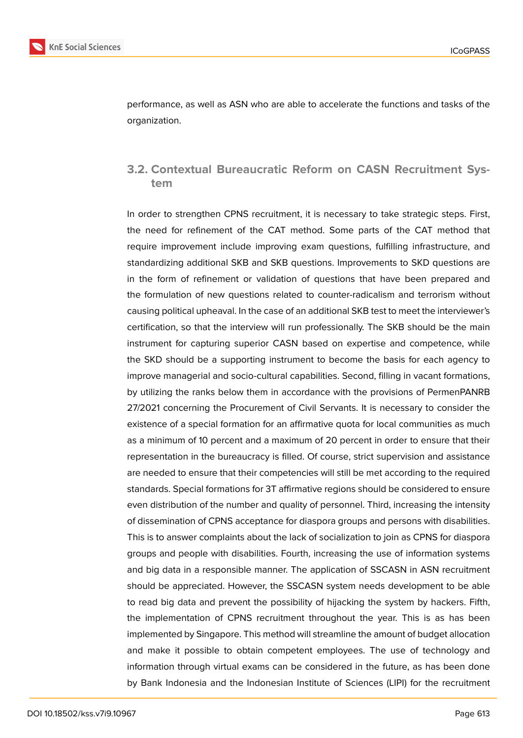

performance, as well as ASN who are able to accelerate the functions and tasks of the organization.

# **3.2. Contextual Bureaucratic Reform on CASN Recruitment System**

In order to strengthen CPNS recruitment, it is necessary to take strategic steps. First, the need for refinement of the CAT method. Some parts of the CAT method that require improvement include improving exam questions, fulfilling infrastructure, and standardizing additional SKB and SKB questions. Improvements to SKD questions are in the form of refinement or validation of questions that have been prepared and the formulation of new questions related to counter-radicalism and terrorism without causing political upheaval. In the case of an additional SKB test to meet the interviewer's certification, so that the interview will run professionally. The SKB should be the main instrument for capturing superior CASN based on expertise and competence, while the SKD should be a supporting instrument to become the basis for each agency to improve managerial and socio-cultural capabilities. Second, filling in vacant formations, by utilizing the ranks below them in accordance with the provisions of PermenPANRB 27/2021 concerning the Procurement of Civil Servants. It is necessary to consider the existence of a special formation for an affirmative quota for local communities as much as a minimum of 10 percent and a maximum of 20 percent in order to ensure that their representation in the bureaucracy is filled. Of course, strict supervision and assistance are needed to ensure that their competencies will still be met according to the required standards. Special formations for 3T affirmative regions should be considered to ensure even distribution of the number and quality of personnel. Third, increasing the intensity of dissemination of CPNS acceptance for diaspora groups and persons with disabilities. This is to answer complaints about the lack of socialization to join as CPNS for diaspora groups and people with disabilities. Fourth, increasing the use of information systems and big data in a responsible manner. The application of SSCASN in ASN recruitment should be appreciated. However, the SSCASN system needs development to be able to read big data and prevent the possibility of hijacking the system by hackers. Fifth, the implementation of CPNS recruitment throughout the year. This is as has been implemented by Singapore. This method will streamline the amount of budget allocation and make it possible to obtain competent employees. The use of technology and information through virtual exams can be considered in the future, as has been done by Bank Indonesia and the Indonesian Institute of Sciences (LIPI) for the recruitment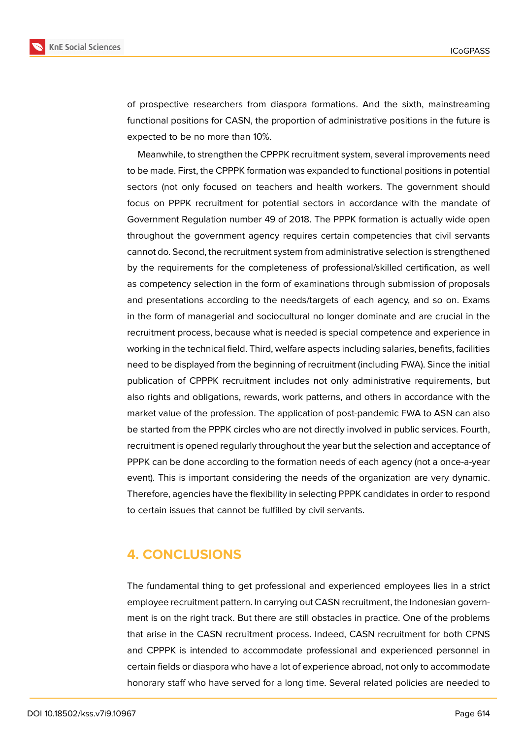

of prospective researchers from diaspora formations. And the sixth, mainstreaming functional positions for CASN, the proportion of administrative positions in the future is expected to be no more than 10%.

Meanwhile, to strengthen the CPPPK recruitment system, several improvements need to be made. First, the CPPPK formation was expanded to functional positions in potential sectors (not only focused on teachers and health workers. The government should focus on PPPK recruitment for potential sectors in accordance with the mandate of Government Regulation number 49 of 2018. The PPPK formation is actually wide open throughout the government agency requires certain competencies that civil servants cannot do. Second, the recruitment system from administrative selection is strengthened by the requirements for the completeness of professional/skilled certification, as well as competency selection in the form of examinations through submission of proposals and presentations according to the needs/targets of each agency, and so on. Exams in the form of managerial and sociocultural no longer dominate and are crucial in the recruitment process, because what is needed is special competence and experience in working in the technical field. Third, welfare aspects including salaries, benefits, facilities need to be displayed from the beginning of recruitment (including FWA). Since the initial publication of CPPPK recruitment includes not only administrative requirements, but also rights and obligations, rewards, work patterns, and others in accordance with the market value of the profession. The application of post-pandemic FWA to ASN can also be started from the PPPK circles who are not directly involved in public services. Fourth, recruitment is opened regularly throughout the year but the selection and acceptance of PPPK can be done according to the formation needs of each agency (not a once-a-year event). This is important considering the needs of the organization are very dynamic. Therefore, agencies have the flexibility in selecting PPPK candidates in order to respond to certain issues that cannot be fulfilled by civil servants.

# **4. CONCLUSIONS**

The fundamental thing to get professional and experienced employees lies in a strict employee recruitment pattern. In carrying out CASN recruitment, the Indonesian government is on the right track. But there are still obstacles in practice. One of the problems that arise in the CASN recruitment process. Indeed, CASN recruitment for both CPNS and CPPPK is intended to accommodate professional and experienced personnel in certain fields or diaspora who have a lot of experience abroad, not only to accommodate honorary staff who have served for a long time. Several related policies are needed to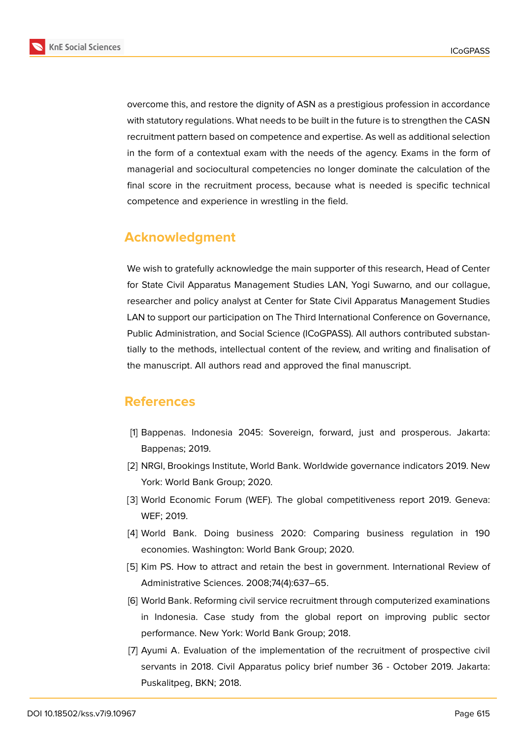

overcome this, and restore the dignity of ASN as a prestigious profession in accordance with statutory regulations. What needs to be built in the future is to strengthen the CASN recruitment pattern based on competence and expertise. As well as additional selection in the form of a contextual exam with the needs of the agency. Exams in the form of managerial and sociocultural competencies no longer dominate the calculation of the final score in the recruitment process, because what is needed is specific technical competence and experience in wrestling in the field.

# **Acknowledgment**

We wish to gratefully acknowledge the main supporter of this research, Head of Center for State Civil Apparatus Management Studies LAN, Yogi Suwarno, and our collague, researcher and policy analyst at Center for State Civil Apparatus Management Studies LAN to support our participation on The Third International Conference on Governance, Public Administration, and Social Science (ICoGPASS). All authors contributed substantially to the methods, intellectual content of the review, and writing and finalisation of the manuscript. All authors read and approved the final manuscript.

# **References**

- [1] Bappenas. Indonesia 2045: Sovereign, forward, just and prosperous. Jakarta: Bappenas; 2019.
- <span id="page-16-0"></span>[2] NRGI, Brookings Institute, World Bank. Worldwide governance indicators 2019. New York: World Bank Group; 2020.
- [3] World Economic Forum (WEF). The global competitiveness report 2019. Geneva: WEF; 2019.
- [4] World Bank. Doing business 2020: Comparing business regulation in 190 economies. Washington: World Bank Group; 2020.
- <span id="page-16-1"></span>[5] Kim PS. How to attract and retain the best in government. International Review of Administrative Sciences. 2008;74(4):637–65.
- <span id="page-16-2"></span>[6] World Bank. Reforming civil service recruitment through computerized examinations in Indonesia. Case study from the global report on improving public sector performance. New York: World Bank Group; 2018.
- [7] Ayumi A. Evaluation of the implementation of the recruitment of prospective civil servants in 2018. Civil Apparatus policy brief number 36 - October 2019. Jakarta: Puskalitpeg, BKN; 2018.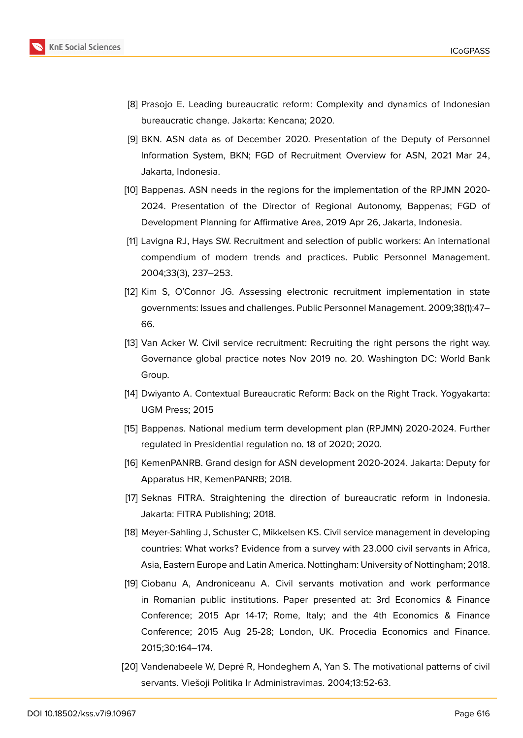

- [8] Prasojo E. Leading bureaucratic reform: Complexity and dynamics of Indonesian bureaucratic change. Jakarta: Kencana; 2020.
- [9] BKN. ASN data as of December 2020. Presentation of the Deputy of Personnel Information System, BKN; FGD of Recruitment Overview for ASN, 2021 Mar 24, Jakarta, Indonesia.
- <span id="page-17-0"></span>[10] Bappenas. ASN needs in the regions for the implementation of the RPJMN 2020- 2024. Presentation of the Director of Regional Autonomy, Bappenas; FGD of Development Planning for Affirmative Area, 2019 Apr 26, Jakarta, Indonesia.
- [11] Lavigna RJ, Hays SW. Recruitment and selection of public workers: An international compendium of modern trends and practices. Public Personnel Management. 2004;33(3), 237–253.
- <span id="page-17-1"></span>[12] Kim S, O'Connor JG. Assessing electronic recruitment implementation in state governments: Issues and challenges. Public Personnel Management. 2009;38(1):47– 66.
- <span id="page-17-2"></span>[13] Van Acker W. Civil service recruitment: Recruiting the right persons the right way. Governance global practice notes Nov 2019 no. 20. Washington DC: World Bank Group.
- <span id="page-17-3"></span>[14] Dwiyanto A. Contextual Bureaucratic Reform: Back on the Right Track. Yogyakarta: UGM Press; 2015
- <span id="page-17-4"></span>[15] Bappenas. National medium term development plan (RPJMN) 2020-2024. Further regulated in Presidential regulation no. 18 of 2020; 2020.
- <span id="page-17-5"></span>[16] KemenPANRB. Grand design for ASN development 2020-2024. Jakarta: Deputy for Apparatus HR, KemenPANRB; 2018.
- <span id="page-17-6"></span>[17] Seknas FITRA. Straightening the direction of bureaucratic reform in Indonesia. Jakarta: FITRA Publishing; 2018.
- [18] Meyer-Sahling J, Schuster C, Mikkelsen KS. Civil service management in developing countries: What works? Evidence from a survey with 23.000 civil servants in Africa, Asia, Eastern Europe and Latin America. Nottingham: University of Nottingham; 2018.
- <span id="page-17-7"></span>[19] Ciobanu A, Androniceanu A. Civil servants motivation and work performance in Romanian public institutions. Paper presented at: 3rd Economics & Finance Conference; 2015 Apr 14-17; Rome, Italy; and the 4th Economics & Finance Conference; 2015 Aug 25-28; London, UK. Procedia Economics and Finance. 2015;30:164–174.
- <span id="page-17-8"></span>[20] Vandenabeele W, Depré R, Hondeghem A, Yan S. The motivational patterns of civil servants. Viešoji Politika Ir Administravimas. 2004;13:52-63.